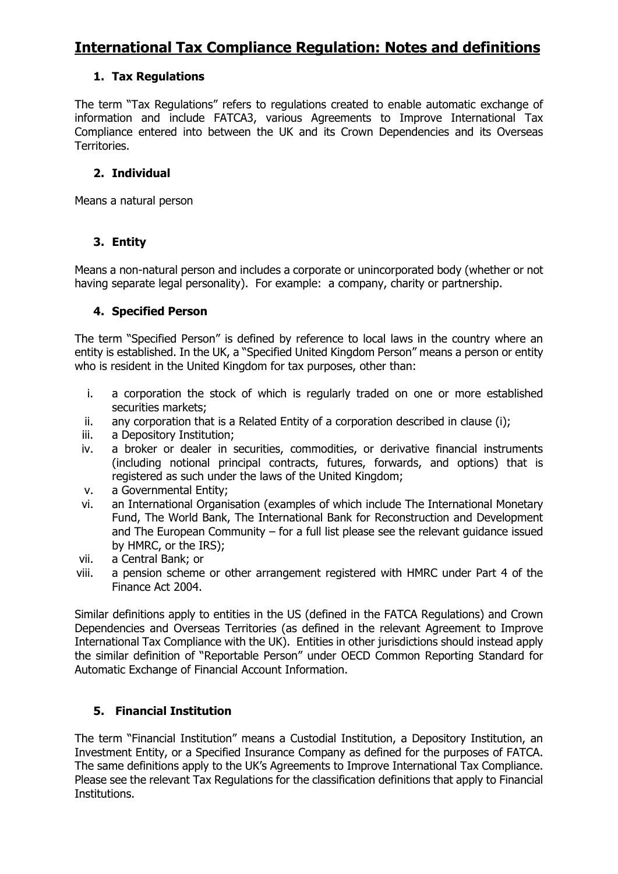# **International Tax Compliance Regulation: Notes and definitions**

# **1. Tax Regulations**

The term "Tax Regulations" refers to regulations created to enable automatic exchange of information and include FATCA3, various Agreements to Improve International Tax Compliance entered into between the UK and its Crown Dependencies and its Overseas Territories.

### **2. Individual**

Means a natural person

### **3. Entity**

Means a non-natural person and includes a corporate or unincorporated body (whether or not having separate legal personality). For example: a company, charity or partnership.

### **4. Specified Person**

The term "Specified Person" is defined by reference to local laws in the country where an entity is established. In the UK, a "Specified United Kingdom Person" means a person or entity who is resident in the United Kingdom for tax purposes, other than:

- i. a corporation the stock of which is regularly traded on one or more established securities markets;
- ii. any corporation that is a Related Entity of a corporation described in clause (i);
- iii. a Depository Institution;
- iv. a broker or dealer in securities, commodities, or derivative financial instruments (including notional principal contracts, futures, forwards, and options) that is registered as such under the laws of the United Kingdom;
- v. a Governmental Entity;
- vi. an International Organisation (examples of which include The International Monetary Fund, The World Bank, The International Bank for Reconstruction and Development and The European Community – for a full list please see the relevant guidance issued by HMRC, or the IRS);
- vii. a Central Bank; or
- viii. a pension scheme or other arrangement registered with HMRC under Part 4 of the Finance Act 2004.

Similar definitions apply to entities in the US (defined in the FATCA Regulations) and Crown Dependencies and Overseas Territories (as defined in the relevant Agreement to Improve International Tax Compliance with the UK). Entities in other jurisdictions should instead apply the similar definition of "Reportable Person" under OECD Common Reporting Standard for Automatic Exchange of Financial Account Information.

# **5. Financial Institution**

The term "Financial Institution" means a Custodial Institution, a Depository Institution, an Investment Entity, or a Specified Insurance Company as defined for the purposes of FATCA. The same definitions apply to the UK's Agreements to Improve International Tax Compliance. Please see the relevant Tax Regulations for the classification definitions that apply to Financial Institutions.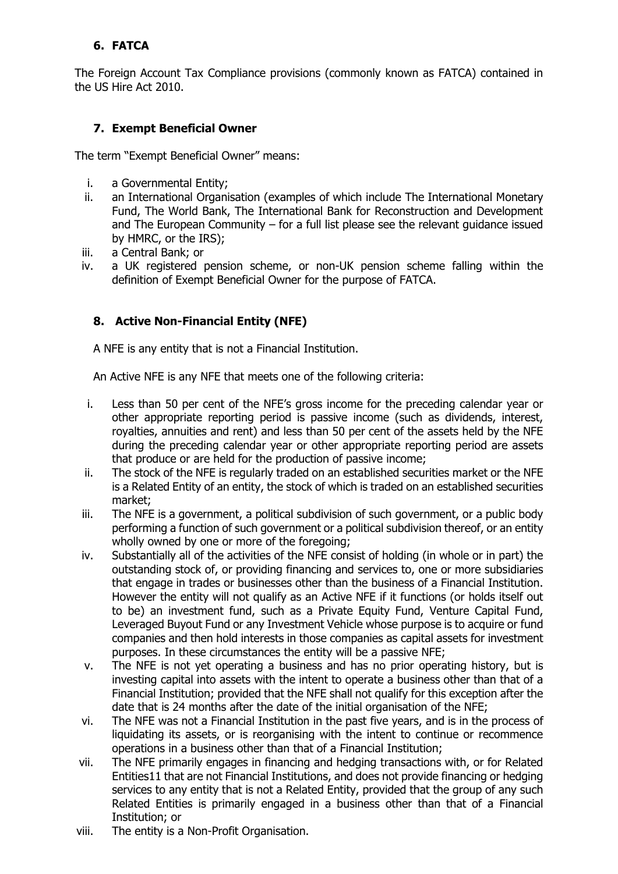# **6. FATCA**

The Foreign Account Tax Compliance provisions (commonly known as FATCA) contained in the US Hire Act 2010.

# **7. Exempt Beneficial Owner**

The term "Exempt Beneficial Owner" means:

- i. a Governmental Entity;
- ii. an International Organisation (examples of which include The International Monetary Fund, The World Bank, The International Bank for Reconstruction and Development and The European Community – for a full list please see the relevant guidance issued by HMRC, or the IRS);
- iii. a Central Bank; or
- iv. a UK registered pension scheme, or non-UK pension scheme falling within the definition of Exempt Beneficial Owner for the purpose of FATCA.

# **8. Active Non-Financial Entity (NFE)**

A NFE is any entity that is not a Financial Institution.

An Active NFE is any NFE that meets one of the following criteria:

- i. Less than 50 per cent of the NFE's gross income for the preceding calendar year or other appropriate reporting period is passive income (such as dividends, interest, royalties, annuities and rent) and less than 50 per cent of the assets held by the NFE during the preceding calendar year or other appropriate reporting period are assets that produce or are held for the production of passive income;
- ii. The stock of the NFE is regularly traded on an established securities market or the NFE is a Related Entity of an entity, the stock of which is traded on an established securities market;
- iii. The NFE is a government, a political subdivision of such government, or a public body performing a function of such government or a political subdivision thereof, or an entity wholly owned by one or more of the foregoing;
- iv. Substantially all of the activities of the NFE consist of holding (in whole or in part) the outstanding stock of, or providing financing and services to, one or more subsidiaries that engage in trades or businesses other than the business of a Financial Institution. However the entity will not qualify as an Active NFE if it functions (or holds itself out to be) an investment fund, such as a Private Equity Fund, Venture Capital Fund, Leveraged Buyout Fund or any Investment Vehicle whose purpose is to acquire or fund companies and then hold interests in those companies as capital assets for investment purposes. In these circumstances the entity will be a passive NFE;
- v. The NFE is not yet operating a business and has no prior operating history, but is investing capital into assets with the intent to operate a business other than that of a Financial Institution; provided that the NFE shall not qualify for this exception after the date that is 24 months after the date of the initial organisation of the NFE;
- vi. The NFE was not a Financial Institution in the past five years, and is in the process of liquidating its assets, or is reorganising with the intent to continue or recommence operations in a business other than that of a Financial Institution;
- vii. The NFE primarily engages in financing and hedging transactions with, or for Related Entities11 that are not Financial Institutions, and does not provide financing or hedging services to any entity that is not a Related Entity, provided that the group of any such Related Entities is primarily engaged in a business other than that of a Financial Institution; or
- viii. The entity is a Non-Profit Organisation.